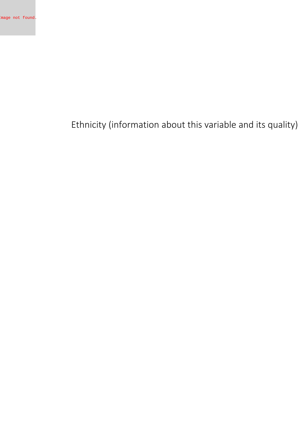**Ethnicity (information about this variable and its quality)**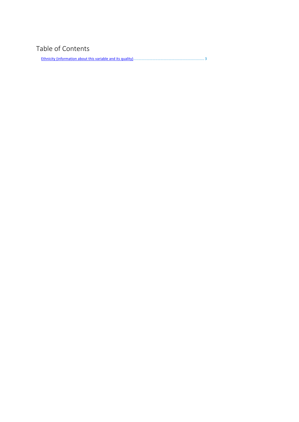## **Table of Contents**

Ethnicity (information about this variable and its [quality\)......................................................................](#page-2-0) 3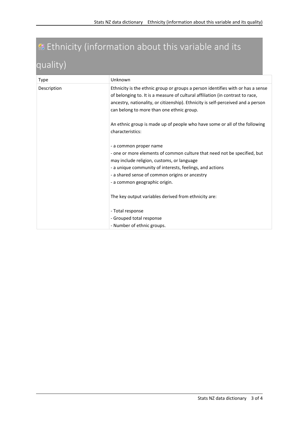## <span id="page-2-0"></span>**Ethnicity (information about this variable and its quality)**

| Type        | Unknown                                                                                                                                                                                                                                                                                            |
|-------------|----------------------------------------------------------------------------------------------------------------------------------------------------------------------------------------------------------------------------------------------------------------------------------------------------|
| Description | Ethnicity is the ethnic group or groups a person identifies with or has a sense<br>of belonging to. It is a measure of cultural affiliation (in contrast to race,<br>ancestry, nationality, or citizenship). Ethnicity is self-perceived and a person<br>can belong to more than one ethnic group. |
|             | An ethnic group is made up of people who have some or all of the following<br>characteristics:                                                                                                                                                                                                     |
|             | - a common proper name<br>- one or more elements of common culture that need not be specified, but<br>may include religion, customs, or language<br>- a unique community of interests, feelings, and actions<br>- a shared sense of common origins or ancestry<br>- a common geographic origin.    |
|             | The key output variables derived from ethnicity are:                                                                                                                                                                                                                                               |
|             | - Total response                                                                                                                                                                                                                                                                                   |
|             | - Grouped total response                                                                                                                                                                                                                                                                           |
|             | - Number of ethnic groups.                                                                                                                                                                                                                                                                         |